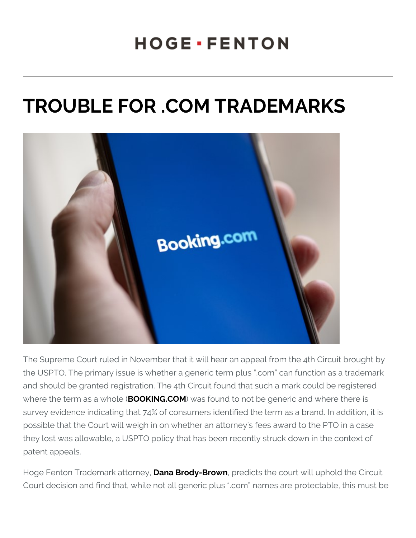## TROUBLE FOR . COM TRADEI

The Supreme Court ruled in November that it will hear an appeal from the USPTO. The primary issue is whether a generic term plus .com and should be granted registration. The 4th Circuit found that such where the term as  $B$ aO WD IK  $d$  NeG  $\ell$ .  $C$  W Ms found to not be generic and wher survey evidence indicating that 74% of consumers identified the ter possible that the Court will weigh in on whether an attorney s fees they lost was allowable, a USPTO policy that has been recently stre patent appeals.

Hoge Fenton Trademar **D ant at Brody-Browendicts** the court will uphold to Court decision and find that, while not all generic plus .com name